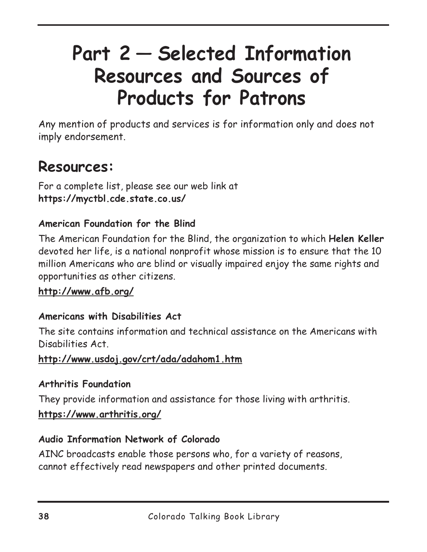# **Part 2 — Selected Information Resources and Sources of Products for Patrons**

Any mention of products and services is for information only and does not imply endorsement.

# **Resources:**

For a complete list, please see our web link at **https://myctbl.cde.state.co.us/**

#### **American Foundation for the Blind**

The American Foundation for the Blind, the organization to which **Helen Keller** devoted her life, is a national nonprofit whose mission is to ensure that the 10 million Americans who are blind or visually impaired enjoy the same rights and opportunities as other citizens.

#### **http://www.afb.org/**

#### **Americans with Disabilities Act**

The site contains information and technical assistance on the Americans with Disabilities Act.

#### **http://www.usdoj.gov/crt/ada/adahom1.htm**

#### **Arthritis Foundation**

They provide information and assistance for those living with arthritis.

**https://www.arthritis.org/**

#### **Audio Information Network of Colorado**

AINC broadcasts enable those persons who, for a variety of reasons, cannot effectively read newspapers and other printed documents.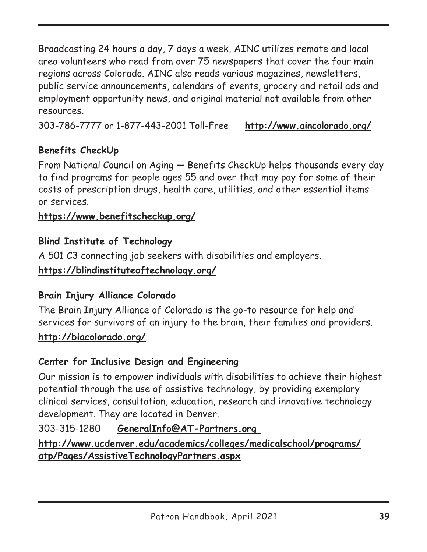Broadcasting 24 hours a day, 7 days a week, AINC utilizes remote and local area volunteers who read from over 75 newspapers that cover the four main regions across Colorado. AINC also reads various magazines, newsletters, public service announcements, calendars of events, grocery and retail ads and employment opportunity news, and original material not available from other resources.

303-786-7777 or 1-877-443-2001 Toll-Free **http://www.aincolorado.org/**

#### **Benefits CheckUp**

From National Council on Aging — Benefits CheckUp helps thousands every day to find programs for people ages 55 and over that may pay for some of their costs of prescription drugs, health care, utilities, and other essential items or services.

#### **https://www.benefitscheckup.org/**

#### **Blind Institute of Technology**

A 501 C3 connecting job seekers with disabilities and employers.

#### **https://blindinstituteoftechnology.org/**

#### **Brain Injury Alliance Colorado**

The Brain Injury Alliance of Colorado is the go-to resource for help and services for survivors of an injury to the brain, their families and providers.

#### **http://biacolorado.org/**

#### **Center for Inclusive Design and Engineering**

Our mission is to empower individuals with disabilities to achieve their highest potential through the use of assistive technology, by providing exemplary clinical services, consultation, education, research and innovative technology development. They are located in Denver.

#### 303-315-1280 **GeneralInfo@AT-Partners.org**

#### **http://www.ucdenver.edu/academics/colleges/medicalschool/programs/ atp/Pages/AssistiveTechnologyPartners.aspx**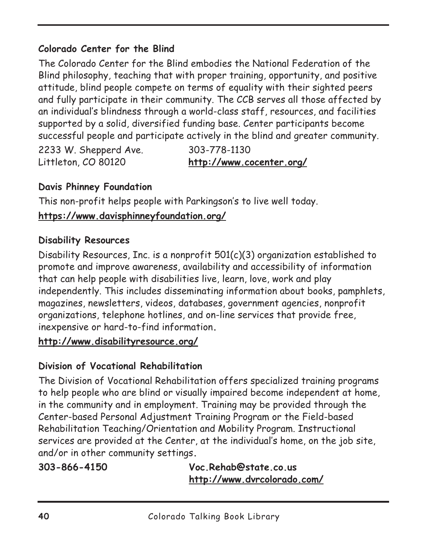#### **Colorado Center for the Blind**

The Colorado Center for the Blind embodies the National Federation of the Blind philosophy, teaching that with proper training, opportunity, and positive attitude, blind people compete on terms of equality with their sighted peers and fully participate in their community. The CCB serves all those affected by an individual's blindness through a world-class staff, resources, and facilities supported by a solid, diversified funding base. Center participants become successful people and participate actively in the blind and greater community.

2233 W. Shepperd Ave. 303-778-1130

Littleton, CO 80120 **http://www.cocenter.org/**

#### **Davis Phinney Foundation**

This non-profit helps people with Parkingson's to live well today.

#### **https://www.davisphinneyfoundation.org/**

#### **Disability Resources**

Disability Resources, Inc. is a nonprofit 501(c)(3) organization established to promote and improve awareness, availability and accessibility of information that can help people with disabilities live, learn, love, work and play independently. This includes disseminating information about books, pamphlets, magazines, newsletters, videos, databases, government agencies, nonprofit organizations, telephone hotlines, and on-line services that provide free, inexpensive or hard-to-find information**.**

#### **http://www.disabilityresource.org/**

# **Division of Vocational Rehabilitation**

The Division of Vocational Rehabilitation offers specialized training programs to help people who are blind or visually impaired become independent at home, in the community and in employment. Training may be provided through the Center-based Personal Adjustment Training Program or the Field-based Rehabilitation Teaching/Orientation and Mobility Program. Instructional services are provided at the Center, at the individual's home, on the job site, and/or in other community settings**.**

**303-866-4150 Voc.Rehab@state.co.us http://www.dvrcolorado.com/**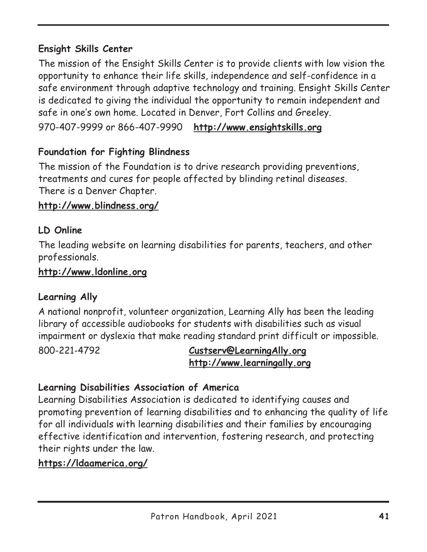#### **Ensight Skills Center**

The mission of the Ensight Skills Center is to provide clients with low vision the opportunity to enhance their life skills, independence and self-confidence in a safe environment through adaptive technology and training. Ensight Skills Center is dedicated to giving the individual the opportunity to remain independent and safe in one's own home. Located in Denver, Fort Collins and Greeley.

970-407-9999 or 866-407-9990 **http://www.ensightskills.org**

#### **Foundation for Fighting Blindness**

The mission of the Foundation is to drive research providing preventions, treatments and cures for people affected by blinding retinal diseases. There is a Denver Chapter.

#### **http://www.blindness.org/**

#### **LD Online**

The leading website on learning disabilities for parents, teachers, and other professionals.

#### **http://www.ldonline.org**

#### **Learning Ally**

A national nonprofit, volunteer organization, Learning Ally has been the leading library of accessible audiobooks for students with disabilities such as visual impairment or dyslexia that make reading standard print difficult or impossible.

800-221-4792 **Custserv@LearningAlly.org http://www.learningally.org**

#### **Learning Disabilities Association of America**

Learning Disabilities Association is dedicated to identifying causes and promoting prevention of learning disabilities and to enhancing the quality of life for all individuals with learning disabilities and their families by encouraging effective identification and intervention, fostering research, and protecting their rights under the law.

#### **https://ldaamerica.org/**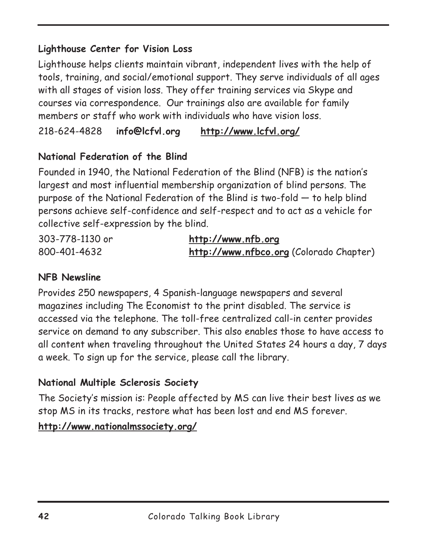#### **Lighthouse Center for Vision Loss**

Lighthouse helps clients maintain vibrant, independent lives with the help of tools, training, and social/emotional support. They serve individuals of all ages with all stages of vision loss. They offer training services via Skype and courses via correspondence. Our trainings also are available for family members or staff who work with individuals who have vision loss.

218-624-4828 **info@lcfvl.org http://www.lcfvl.org/**

#### **National Federation of the Blind**

Founded in 1940, the National Federation of the Blind (NFB) is the nation's largest and most influential membership organization of blind persons. The purpose of the National Federation of the Blind is two-fold — to help blind persons achieve self-confidence and self-respect and to act as a vehicle for collective self-expression by the blind.

| 303-778-1130 or | http://www.nfb.org                      |
|-----------------|-----------------------------------------|
| 800-401-4632    | http://www.nfbco.org (Colorado Chapter) |

#### **NFB Newsline**

Provides 250 newspapers, 4 Spanish-language newspapers and several magazines including The Economist to the print disabled. The service is accessed via the telephone. The toll-free centralized call-in center provides service on demand to any subscriber. This also enables those to have access to all content when traveling throughout the United States 24 hours a day, 7 days a week. To sign up for the service, please call the library.

#### **National Multiple Sclerosis Society**

The Society's mission is: People affected by MS can live their best lives as we stop MS in its tracks, restore what has been lost and end MS forever.

**http://www.nationalmssociety.org/**